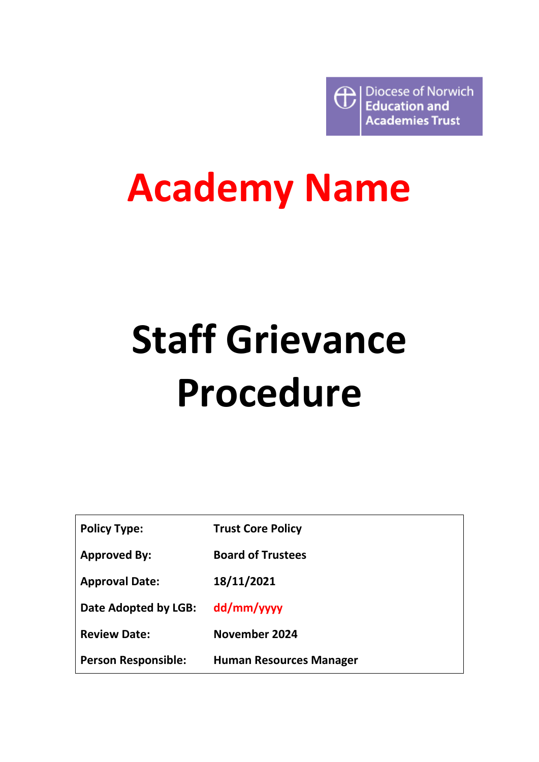Diocese of Norwich  $\bigoplus$ **Education and Academies Trust** 

## **Academy Name**

# **Staff Grievance Procedure**

| <b>Policy Type:</b>        | <b>Trust Core Policy</b>       |
|----------------------------|--------------------------------|
| <b>Approved By:</b>        | <b>Board of Trustees</b>       |
| <b>Approval Date:</b>      | 18/11/2021                     |
| Date Adopted by LGB:       | dd/mm/yyyy                     |
| <b>Review Date:</b>        | <b>November 2024</b>           |
| <b>Person Responsible:</b> | <b>Human Resources Manager</b> |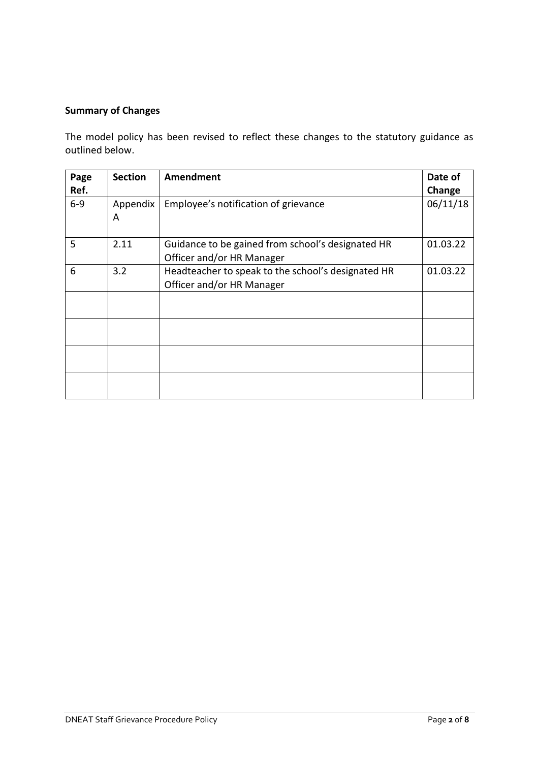#### **Summary of Changes**

The model policy has been revised to reflect these changes to the statutory guidance as outlined below.

| Page    | <b>Section</b> | <b>Amendment</b>                                                                | Date of  |
|---------|----------------|---------------------------------------------------------------------------------|----------|
| Ref.    |                |                                                                                 | Change   |
| $6 - 9$ | Appendix<br>A  | Employee's notification of grievance                                            | 06/11/18 |
| 5       | 2.11           | Guidance to be gained from school's designated HR<br>Officer and/or HR Manager  | 01.03.22 |
| 6       | 3.2            | Headteacher to speak to the school's designated HR<br>Officer and/or HR Manager | 01.03.22 |
|         |                |                                                                                 |          |
|         |                |                                                                                 |          |
|         |                |                                                                                 |          |
|         |                |                                                                                 |          |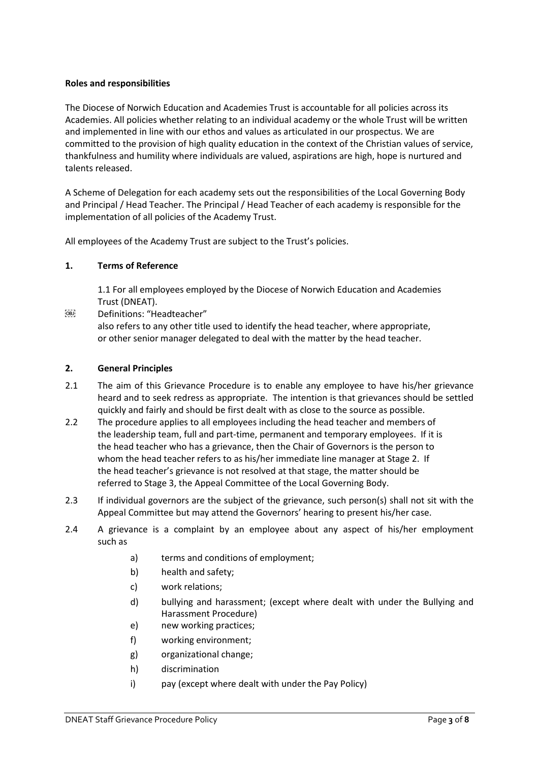#### **Roles and responsibilities**

The Diocese of Norwich Education and Academies Trust is accountable for all policies across its Academies. All policies whether relating to an individual academy or the whole Trust will be written and implemented in line with our ethos and values as articulated in our prospectus. We are committed to the provision of high quality education in the context of the Christian values of service, thankfulness and humility where individuals are valued, aspirations are high, hope is nurtured and talents released.

A Scheme of Delegation for each academy sets out the responsibilities of the Local Governing Body and Principal / Head Teacher. The Principal / Head Teacher of each academy is responsible for the implementation of all policies of the Academy Trust.

All employees of the Academy Trust are subject to the Trust's policies.

#### **1. Terms of Reference**

1.1 For all employees employed by the Diocese of Norwich Education and Academies Trust (DNEAT).

Definitions: "Headteacher"

also refers to any other title used to identify the head teacher, where appropriate, or other senior manager delegated to deal with the matter by the head teacher.

#### **2. General Principles**

- 2.1 The aim of this Grievance Procedure is to enable any employee to have his/her grievance heard and to seek redress as appropriate. The intention is that grievances should be settled quickly and fairly and should be first dealt with as close to the source as possible.
- 2.2 The procedure applies to all employees including the head teacher and members of the leadership team, full and part-time, permanent and temporary employees. If it is the head teacher who has a grievance, then the Chair of Governors is the person to whom the head teacher refers to as his/her immediate line manager at Stage 2. If the head teacher's grievance is not resolved at that stage, the matter should be referred to Stage 3, the Appeal Committee of the Local Governing Body.
- 2.3 If individual governors are the subject of the grievance, such person(s) shall not sit with the Appeal Committee but may attend the Governors' hearing to present his/her case.
- 2.4 A grievance is a complaint by an employee about any aspect of his/her employment such as
	- a) terms and conditions of employment;
	- b) health and safety;
	- c) work relations;
	- d) bullying and harassment; (except where dealt with under the Bullying and Harassment Procedure)
	- e) new working practices;
	- f) working environment;
	- g) organizational change;
	- h) discrimination
	- i) pay (except where dealt with under the Pay Policy)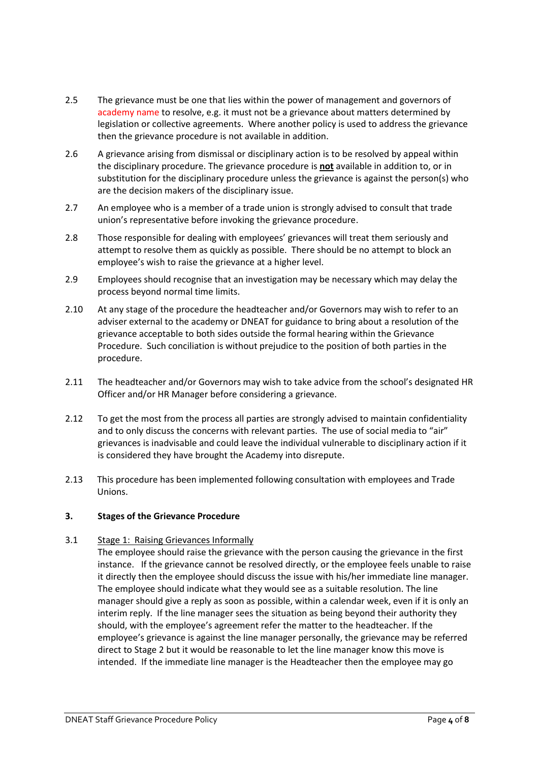- 2.5 The grievance must be one that lies within the power of management and governors of academy name to resolve, e.g. it must not be a grievance about matters determined by legislation or collective agreements. Where another policy is used to address the grievance then the grievance procedure is not available in addition.
- 2.6 A grievance arising from dismissal or disciplinary action is to be resolved by appeal within the disciplinary procedure. The grievance procedure is **not** available in addition to, or in substitution for the disciplinary procedure unless the grievance is against the person(s) who are the decision makers of the disciplinary issue.
- 2.7 An employee who is a member of a trade union is strongly advised to consult that trade union's representative before invoking the grievance procedure.
- 2.8 Those responsible for dealing with employees' grievances will treat them seriously and attempt to resolve them as quickly as possible. There should be no attempt to block an employee's wish to raise the grievance at a higher level.
- 2.9 Employees should recognise that an investigation may be necessary which may delay the process beyond normal time limits.
- 2.10 At any stage of the procedure the headteacher and/or Governors may wish to refer to an adviser external to the academy or DNEAT for guidance to bring about a resolution of the grievance acceptable to both sides outside the formal hearing within the Grievance Procedure. Such conciliation is without prejudice to the position of both parties in the procedure.
- 2.11 The headteacher and/or Governors may wish to take advice from the school's designated HR Officer and/or HR Manager before considering a grievance.
- 2.12 To get the most from the process all parties are strongly advised to maintain confidentiality and to only discuss the concerns with relevant parties. The use of social media to "air" grievances is inadvisable and could leave the individual vulnerable to disciplinary action if it is considered they have brought the Academy into disrepute.
- 2.13 This procedure has been implemented following consultation with employees and Trade Unions.

#### **3. Stages of the Grievance Procedure**

#### 3.1 Stage 1: Raising Grievances Informally

The employee should raise the grievance with the person causing the grievance in the first instance. If the grievance cannot be resolved directly, or the employee feels unable to raise it directly then the employee should discuss the issue with his/her immediate line manager. The employee should indicate what they would see as a suitable resolution. The line manager should give a reply as soon as possible, within a calendar week, even if it is only an interim reply. If the line manager sees the situation as being beyond their authority they should, with the employee's agreement refer the matter to the headteacher. If the employee's grievance is against the line manager personally, the grievance may be referred direct to Stage 2 but it would be reasonable to let the line manager know this move is intended. If the immediate line manager is the Headteacher then the employee may go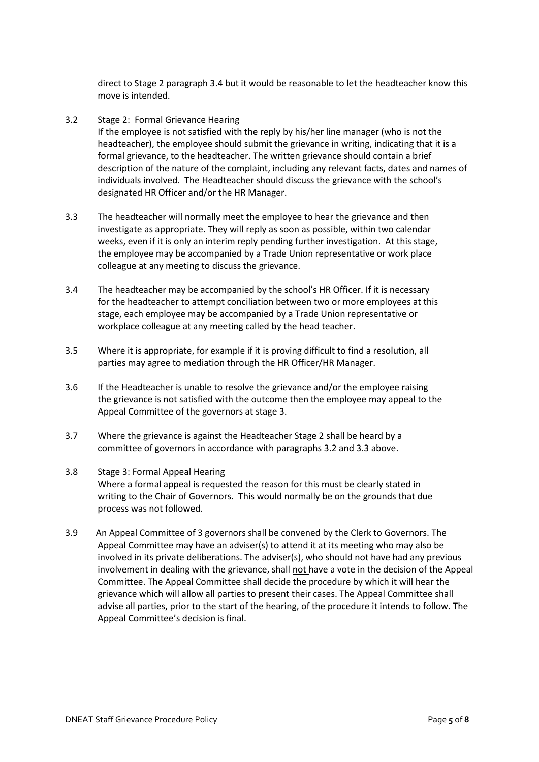direct to Stage 2 paragraph 3.4 but it would be reasonable to let the headteacher know this move is intended.

#### 3.2 Stage 2: Formal Grievance Hearing

If the employee is not satisfied with the reply by his/her line manager (who is not the headteacher), the employee should submit the grievance in writing, indicating that it is a formal grievance, to the headteacher. The written grievance should contain a brief description of the nature of the complaint, including any relevant facts, dates and names of individuals involved. The Headteacher should discuss the grievance with the school's designated HR Officer and/or the HR Manager.

- 3.3 The headteacher will normally meet the employee to hear the grievance and then investigate as appropriate. They will reply as soon as possible, within two calendar weeks, even if it is only an interim reply pending further investigation. At this stage, the employee may be accompanied by a Trade Union representative or work place colleague at any meeting to discuss the grievance.
- 3.4 The headteacher may be accompanied by the school's HR Officer. If it is necessary for the headteacher to attempt conciliation between two or more employees at this stage, each employee may be accompanied by a Trade Union representative or workplace colleague at any meeting called by the head teacher.
- 3.5 Where it is appropriate, for example if it is proving difficult to find a resolution, all parties may agree to mediation through the HR Officer/HR Manager.
- 3.6 If the Headteacher is unable to resolve the grievance and/or the employee raising the grievance is not satisfied with the outcome then the employee may appeal to the Appeal Committee of the governors at stage 3.
- 3.7 Where the grievance is against the Headteacher Stage 2 shall be heard by a committee of governors in accordance with paragraphs 3.2 and 3.3 above.

#### 3.8 Stage 3: Formal Appeal Hearing Where a formal appeal is requested the reason for this must be clearly stated in writing to the Chair of Governors. This would normally be on the grounds that due process was not followed.

3.9 An Appeal Committee of 3 governors shall be convened by the Clerk to Governors. The Appeal Committee may have an adviser(s) to attend it at its meeting who may also be involved in its private deliberations. The adviser(s), who should not have had any previous involvement in dealing with the grievance, shall not have a vote in the decision of the Appeal Committee. The Appeal Committee shall decide the procedure by which it will hear the grievance which will allow all parties to present their cases. The Appeal Committee shall advise all parties, prior to the start of the hearing, of the procedure it intends to follow. The Appeal Committee's decision is final.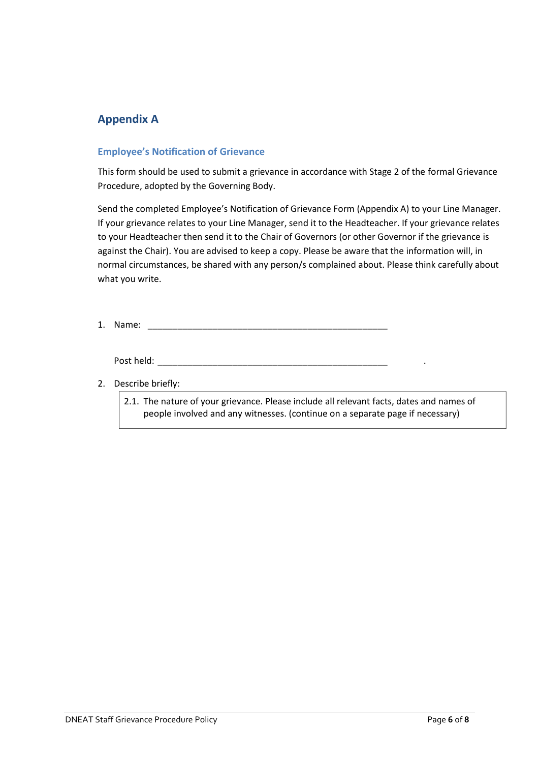### **Appendix A**

#### **Employee's Notification of Grievance**

This form should be used to submit a grievance in accordance with Stage 2 of the formal Grievance Procedure, adopted by the Governing Body.

Send the completed Employee's Notification of Grievance Form (Appendix A) to your Line Manager. If your grievance relates to your Line Manager, send it to the Headteacher. If your grievance relates to your Headteacher then send it to the Chair of Governors (or other Governor if the grievance is against the Chair). You are advised to keep a copy. Please be aware that the information will, in normal circumstances, be shared with any person/s complained about. Please think carefully about what you write.

1. Name: \_\_\_\_\_\_\_\_\_\_\_\_\_\_\_\_\_\_\_\_\_\_\_\_\_\_\_\_\_\_\_\_\_\_\_\_\_\_\_\_\_\_\_\_\_\_\_\_

Post held: \_\_\_\_\_\_\_\_\_\_\_\_\_\_\_\_\_\_\_\_\_\_\_\_\_\_\_\_\_\_\_\_\_\_\_\_\_\_\_\_\_\_\_\_\_\_ .

#### 2. Describe briefly:

2.1. The nature of your grievance. Please include all relevant facts, dates and names of people involved and any witnesses. (continue on a separate page if necessary)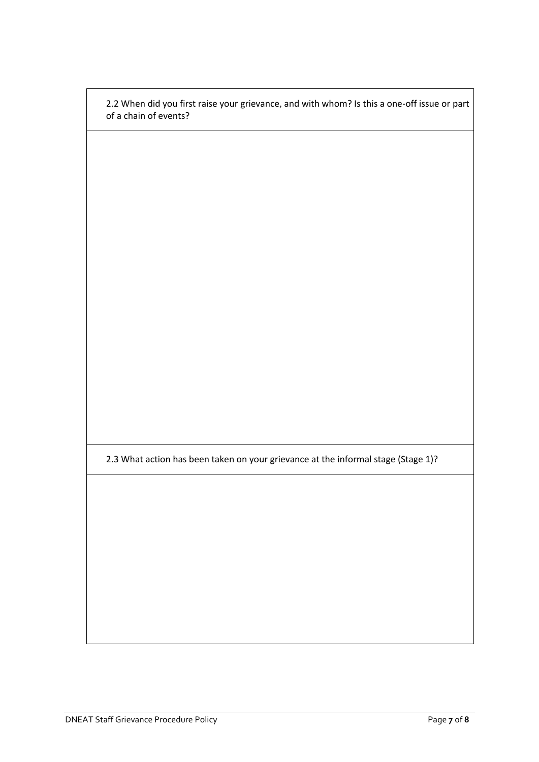2.2 When did you first raise your grievance, and with whom? Is this a one-off issue or part of a chain of events?

2.3 What action has been taken on your grievance at the informal stage (Stage 1)?